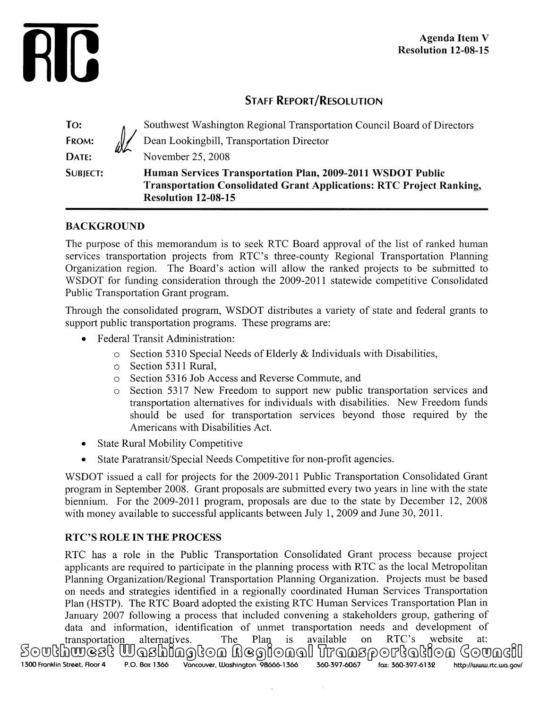

# **STAFF REPORT/RESOLUTION**

| To:             |    | Southwest Washington Regional Transportation Council Board of Directors                                                                                                 |
|-----------------|----|-------------------------------------------------------------------------------------------------------------------------------------------------------------------------|
| FROM:           | WL | Dean Lookingbill, Transportation Director                                                                                                                               |
| DATE:           |    | November 25, 2008                                                                                                                                                       |
| <b>SUBJECT:</b> |    | Human Services Transportation Plan, 2009-2011 WSDOT Public<br><b>Transportation Consolidated Grant Applications: RTC Project Ranking,</b><br><b>Resolution 12-08-15</b> |

# **BACKGROUND**

The purpose of this memorandum is to seek RTC Board approval of the list of ranked human services transportation projects from RTC's three-county Regional Transportation Planning Organization region. The Board's action will allow the ranked projects to be submitted to WSDOT for funding consideration through the 2009-2011 statewide competitive Consolidated Public Transportation Grant program.

Through the consolidated program, WSDOT distributes a variety of state and federal grants to support public transportation programs. These programs are:

- Federal Transit Administration:
	- o Section 5310 Special Needs of Elderly & Individuals with Disabilities,
	- o Section 5311 Rural,
	- o Section 5316 Job Access and Reverse Commute, and
	- o Section 5317 New Freedom to support new public transportation services and transportation alternatives for individuals with disabilities. New Freedom funds should be used for transportation services beyond those required by the Americans with Disabilities Act.
- State Rural Mobility Competitive
- State Paratransit/Special Needs Competitive for non-profit agencies.

WSDOT issued a call for projects for the 2009-2011 Public Transportation Consolidated Grant program in September 2008. Grant proposals are submitted every two years in line with the state biennium. For the 2009-2011 program, proposals are due to the state by December 12, 2008 with money available to successful applicants between July 1, 2009 and June 30, 2011.

# **RTC'S ROLE IN THE PROCESS**

RTC has a role in the Public Transportation Consolidated Grant process because project applicants are required to participate in the planning process with RTC as the local Metropolitan Planning Organization/Regional Transportation Planning Organization. Projects must be based on needs and strategies identified in a regionally coordinated Human Services Transportation Plan (HSTP). The RTC Board adopted the existing RTC Human Services Transportation Plan in January 2007 following a process that included convening a stakeholders group, gathering of data and information, identification of unmet transportation needs and development of transportation alternatives. The Plan is available on RTC's website at: 1I ®I ®GiXU ® ®1 ®GU 1300 Franklin Street, Floor 4 P.O. Box 1366 Vancouver, Washington **98666-1366 360-397-6067 fax: 360-397-6132** <http://www.rtc.wo.gov/>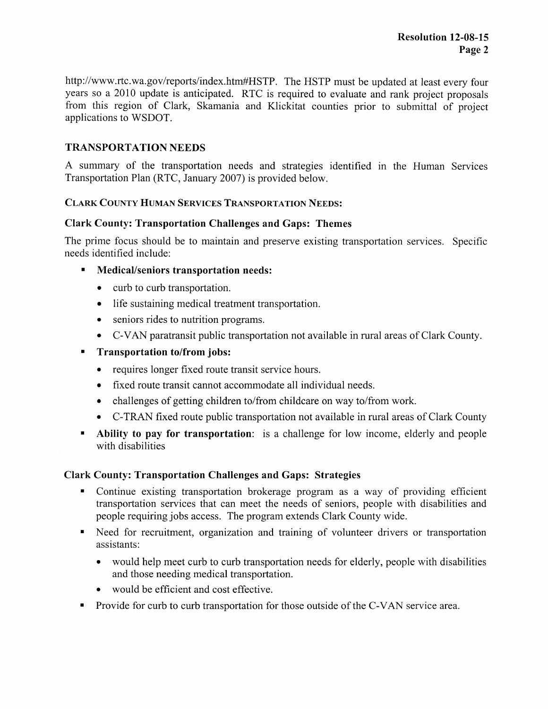http://www.rtc.wa.gov/reports/index.htm#HSTP. The HSTP must be updated at least every four years so a 2010 update is anticipated. RTC is required to evaluate and rank project proposals from this region of Clark, Skamania and Klickitat counties prior to submittal of project applications to WSDOT.

### **TRANSPORTATION NEEDS**

A summary of the transportation needs and strategies identified in the Human Services Transportation Plan (RTC, January 2007) is provided below.

#### **CLARK COUNTY HUMAN SERVICES TRANSPORTATION NEEDS:**

#### **Clark County: Transportation Challenges and Gaps: Themes**

The prime focus should be to maintain and preserve existing transportation services. Specific needs identified include:

- **Medical/seniors transportation needs:**
	- curb to curb transportation.
	- life sustaining medical treatment transportation.
	- seniors rides to nutrition programs.
	- C-VAN paratransit public transportation not available in rural areas of Clark County.
- **n Transportation to/from jobs:** 
	- requires longer fixed route transit service hours.
	- fixed route transit cannot accommodate all individual needs.
	- challenges of getting children to/from childcare on way to/from work.
	- C-TRAN fixed route public transportation not available in rural areas of Clark County
- **Ability to pay for transportation:** is a challenge for low income, elderly and people with disabilities

#### **Clark County: Transportation Challenges and Gaps: Strategies**

- Continue existing transportation brokerage program as a way of providing efficient transportation services that can meet the needs of seniors, people with disabilities and people requiring jobs access. The program extends Clark County wide.
- Need for recruitment, organization and training of volunteer drivers or transportation assistants:
	- would help meet curb to curb transportation needs for elderly, people with disabilities and those needing medical transportation.
	- would be efficient and cost effective.
- Provide for curb to curb transportation for those outside of the C-VAN service area.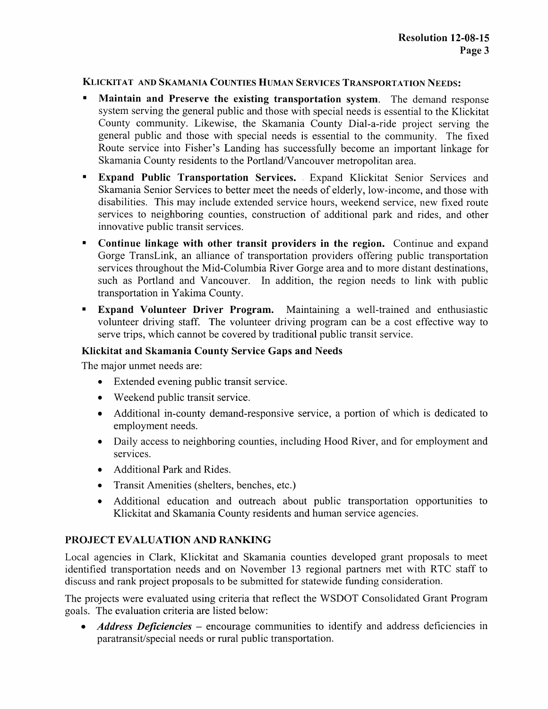#### KLICKITAT AND SKAMANIA COUNTIES HUMAN SERVICES TRANSPORTATION NEEDS:

- <sup>n</sup> **Maintain and Preserve the existing transportation system.** The demand response system serving the general public and those with special needs is essential to the Klickitat County community. Likewise, the Skamania County Dial-a-ride project serving the general public and those with special needs is essential to the community. The fixed Route service into Fisher's Landing has successfully become an important linkage for Skamania County residents to the Portland/Vancouver metropolitan area.
- **Expand Public Transportation Services. .** Expand Klickitat Senior Services and Skamania Senior Services to better meet the needs of elderly, low-income, and those with disabilities. This may include extended service hours, weekend service, new fixed route services to neighboring counties, construction of additional park and rides, and other innovative public transit services.
- **Continue linkage with other transit providers in the region.** Continue and expand Gorge TransLink, an alliance of transportation providers offering public transportation services throughout the Mid-Columbia River Gorge area and to more distant destinations, such as Portland and Vancouver. In addition, the region needs to link with public transportation in Yakima County.
- **Expand Volunteer Driver Program.** Maintaining a well-trained and enthusiastic volunteer driving staff. The volunteer driving program can be a cost effective way to serve trips, which cannot be covered by traditional public transit service.

### **Klickitat and Skamania County Service Gaps and Needs**

The major unmet needs are:

- Extended evening public transit service.
- Weekend public transit service.
- Additional in-county demand-responsive service, a portion of which is dedicated to employment needs.
- Daily access to neighboring counties, including Hood River, and for employment and services.
- Additional Park and Rides.
- Transit Amenities (shelters, benches, etc.)
- Additional education and outreach about public transportation opportunities to Klickitat and Skamania County residents and human service agencies.

# **PROJECT EVALUATION AND RANKING**

Local agencies in Clark, Klickitat and Skamania counties developed grant proposals to meet identified transportation needs and on November 13 regional partners met with RTC staff to discuss and rank project proposals to be submitted for statewide funding consideration.

The projects were evaluated using criteria that reflect the WSDOT Consolidated Grant Program goals. The evaluation criteria are listed below:

• *Address Deficiencies* – encourage communities to identify and address deficiencies in paratransit/special needs or rural public transportation.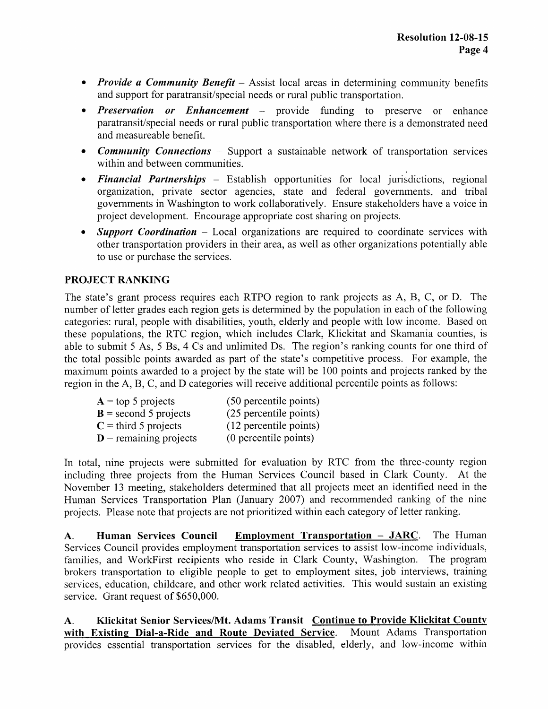- *Provide a Community Benefit* Assist local areas in determining community benefits and support for paratransit/special needs or rural public transportation.
- *• Preservation or Enhancement* provide funding to preserve or enhance paratransit/special needs or rural public transportation where there is a demonstrated need and measureable benefit.
- *Community Connections* Support a sustainable network of transportation services within and between communities.
- *• Financial Partnerships* Establish opportunities for local jurisdictions, regional organization, private sector agencies, state and federal governments, and tribal governments in Washington to work collaboratively. Ensure stakeholders have a voice in project development. Encourage appropriate cost sharing on projects.
- *Support Coordination* Local organizations are required to coordinate services with other transportation providers in their area, as well as other organizations potentially able to use or purchase the services.

# **PROJECT RANKING**

The state's grant process requires each RTPO region to rank projects as A, B, C, or D. The number of letter grades each region gets is determined by the population in each of the following categories: rural, people with disabilities, youth, elderly and people with low income. Based on these populations, the RTC region, which includes Clark, Klickitat and Skamania counties, is able to submit 5 As, 5 **Bs,** 4 Cs and unlimited Ds. The region's ranking counts for one third of the total possible points awarded as part of the state's competitive process. For example, the maximum points awarded to a project by the state will be 100 points and projects ranked by the region in the A, B, C, and D categories will receive additional percentile points as follows:

| $A = top 5 projects$              | (50 percentile points) |
|-----------------------------------|------------------------|
| $B =$ second 5 projects           | (25 percentile points) |
| $C =$ third 5 projects            | (12 percentile points) |
| $\mathbf{D}$ = remaining projects | (0 percentile points)  |

In total, nine projects were submitted for evaluation by RTC from the three-county region including three projects from the Human Services Council based in Clark County. At the November 13 meeting, stakeholders determined that all projects meet an identified need in the Human Services Transportation Plan (January 2007) and recommended ranking of the nine projects. Please note that projects are not prioritized within each category of letter ranking.

A. **Human Services Council Employment Transportation — JARC .** The Human Services Council provides employment transportation services to assist low-income individuals, families, and WorkFirst recipients who reside in Clark County, Washington. The program brokers transportation to eligible people to get to employment sites, job interviews, training services, education, childcare, and other work related activities. This would sustain an existing service. Grant request of \$650,000.

A. **Klickitat Senior Services/Mt. Adams Transit Continue to Provide Klickitat County with Existing Dial-a-Ride and Route Deviated Service .** Mount Adams Transportation provides essential transportation services for the disabled, elderly, and low-income within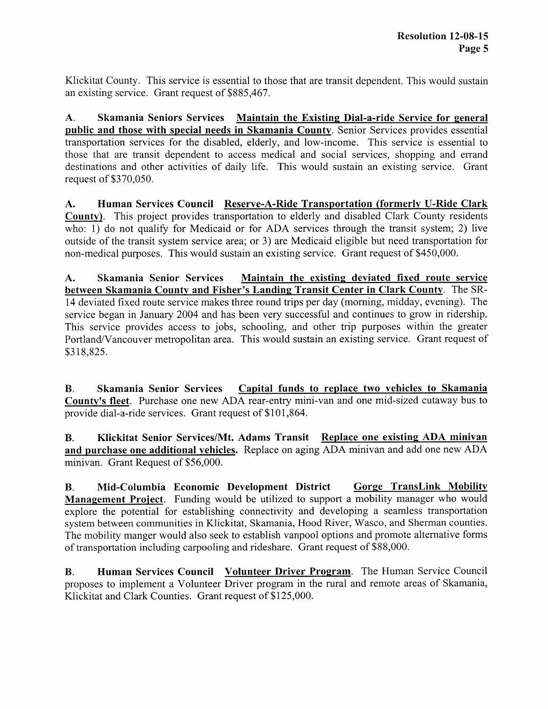Klickitat County. This service is essential to those that are transit dependent. This would sustain an existing service. Grant request of \$885,467.

A. **Skamania Seniors Services Maintain the Existing Dial-a-ride Service for general public and those with special needs in Skamania Count<sup>y</sup> .** Senior Services provides essential transportation services for the disabled, elderly, and low-income. This service is essential to those that are transit dependent to access medical and social services, shopping and errand destinations and other activities of daily life. This would sustain an existing service. Grant request of \$370,050.

**A. Human Services Council Reserve-A-Ride Transportation (formerly U-Ride Clark County).** This project provides transportation to elderly and disabled Clark County residents who: 1) do not qualify for Medicaid or for ADA services through the transit system; 2) live outside of the transit system service area; or 3) are Medicaid eligible but need transportation for non-medical purposes. This would sustain an existing service. Grant request of \$450,000.

**A. Skamania Senior Services Maintain the existing deviated fixed route service between Skamania County and Fisher's Landing Transit Center in Clark County . The SR-**14 deviated fixed route service makes three round trips per day (morning, midday, evening). The service began in January 2004 and has been very successful and continues to grow in ridership. This service provides access to jobs, schooling, and other trip purposes within the greater Portland/Vancouver metropolitan area. This would sustain an existing service. Grant request of \$318,825.

**B. Skamania Senior Services Capital funds to replace two vehicles to Skamania County's fleet.** Purchase one new ADA rear-entry mini-van and one mid-sized cutaway bus to provide dial-a-ride services. Grant request of \$101,864.

**B. Klickitat Senior Services/Mt. Adams Transit Replace one existing ADA minivan and purchase one additional vehicles.** Replace on aging ADA minivan and add one new ADA minivan. Grant Request of \$56,000.

**B. Mid-Columbia Economic Development District Gorge TransLink Mobility Management Project.** Funding would be utilized to support a mobility manager who would explore the potential for establishing connectivity and developing a seamless transportation system between communities in Klickitat, Skamania, Hood River, Wasco, and Sherman counties. The mobility manger would also seek to establish vanpool options and promote alternative forms of transportation including carpooling and rideshare. Grant request of \$88,000.

**B.** Human Services Council Volunteer Driver Program. The Human Service Council proposes to implement a Volunteer Driver program in the rural and remote areas of Skamania, Klickitat and Clark Counties. Grant request of \$125,000.